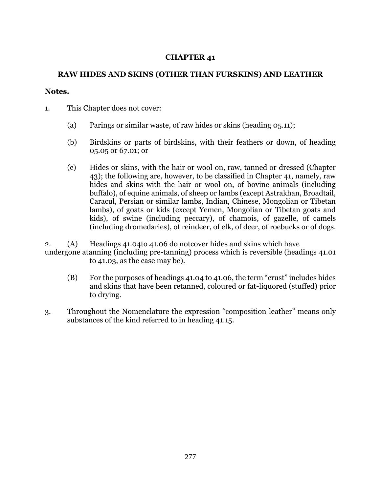## **CHAPTER 41**

## **RAW HIDES AND SKINS (OTHER THAN FURSKINS) AND LEATHER**

## **Notes.**

- 1. This Chapter does not cover:
	- (a) Parings or similar waste, of raw hides or skins (heading 05.11);
	- (b) Birdskins or parts of birdskins, with their feathers or down, of heading 05.05 or 67.01; or
	- (c) Hides or skins, with the hair or wool on, raw, tanned or dressed (Chapter 43); the following are, however, to be classified in Chapter 41, namely, raw hides and skins with the hair or wool on, of bovine animals (including buffalo), of equine animals, of sheep or lambs (except Astrakhan, Broadtail, Caracul, Persian or similar lambs, Indian, Chinese, Mongolian or Tibetan lambs), of goats or kids (except Yemen, Mongolian or Tibetan goats and kids), of swine (including peccary), of chamois, of gazelle, of camels (including dromedaries), of reindeer, of elk, of deer, of roebucks or of dogs.

2. (A) Headings 41.04to 41.06 do notcover hides and skins which have undergone atanning (including pre-tanning) process which is reversible (headings 41.01 to 41.03, as the case may be).

- (B) For the purposes of headings 41.04 to 41.06, the term "crust" includes hides and skins that have been retanned, coloured or fat-liquored (stuffed) prior to drying.
- 3. Throughout the Nomenclature the expression "composition leather" means only substances of the kind referred to in heading 41.15.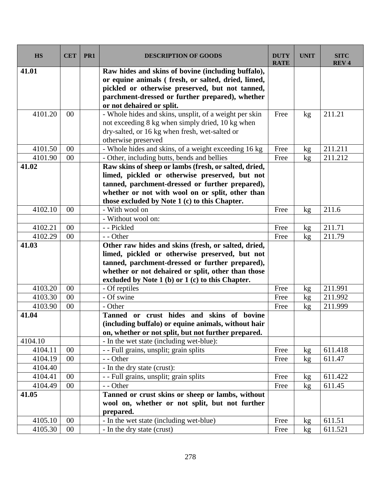| <b>HS</b>          | <b>CET</b> | PR <sub>1</sub> | <b>DESCRIPTION OF GOODS</b>                                                                                                                                                                                    | <b>DUTY</b><br><b>RATE</b> | <b>UNIT</b>     | <b>SITC</b><br><b>REV4</b> |
|--------------------|------------|-----------------|----------------------------------------------------------------------------------------------------------------------------------------------------------------------------------------------------------------|----------------------------|-----------------|----------------------------|
| 41.01              |            |                 | Raw hides and skins of bovine (including buffalo),<br>or equine animals (fresh, or salted, dried, limed,<br>pickled or otherwise preserved, but not tanned,<br>parchment-dressed or further prepared), whether |                            |                 |                            |
| 4101.20            | $00\,$     |                 | or not dehaired or split.<br>- Whole hides and skins, unsplit, of a weight per skin<br>not exceeding 8 kg when simply dried, 10 kg when<br>dry-salted, or 16 kg when fresh, wet-salted or                      | Free                       | kg              | 211.21                     |
|                    | $00\,$     |                 | otherwise preserved                                                                                                                                                                                            |                            |                 | 211.211                    |
| 4101.50<br>4101.90 | 00         |                 | - Whole hides and skins, of a weight exceeding 16 kg                                                                                                                                                           | Free<br>Free               | kg              | 211.212                    |
| 41.02              |            |                 | - Other, including butts, bends and bellies<br>Raw skins of sheep or lambs (fresh, or salted, dried,                                                                                                           |                            | kg <sub>2</sub> |                            |
|                    |            |                 | limed, pickled or otherwise preserved, but not                                                                                                                                                                 |                            |                 |                            |
|                    |            |                 | tanned, parchment-dressed or further prepared),                                                                                                                                                                |                            |                 |                            |
|                    |            |                 | whether or not with wool on or split, other than                                                                                                                                                               |                            |                 |                            |
|                    |            |                 | those excluded by Note 1 (c) to this Chapter.                                                                                                                                                                  |                            |                 |                            |
| 4102.10            | 00         |                 | - With wool on                                                                                                                                                                                                 | Free                       | kg              | 211.6                      |
|                    |            |                 | - Without wool on:                                                                                                                                                                                             |                            |                 |                            |
| 4102.21            | 00         |                 | - - Pickled                                                                                                                                                                                                    | Free                       | kg              | 211.71                     |
| 4102.29            | 00         |                 | - - Other                                                                                                                                                                                                      | Free                       | kg              | 211.79                     |
| 41.03              |            |                 | Other raw hides and skins (fresh, or salted, dried,                                                                                                                                                            |                            |                 |                            |
|                    |            |                 | limed, pickled or otherwise preserved, but not                                                                                                                                                                 |                            |                 |                            |
|                    |            |                 | tanned, parchment-dressed or further prepared),                                                                                                                                                                |                            |                 |                            |
|                    |            |                 | whether or not dehaired or split, other than those                                                                                                                                                             |                            |                 |                            |
|                    |            |                 | excluded by Note $1$ (b) or $1$ (c) to this Chapter.                                                                                                                                                           |                            |                 |                            |
| 4103.20            | 00         |                 | - Of reptiles                                                                                                                                                                                                  | Free                       | kg              | 211.991                    |
| 4103.30            | 00         |                 | - Of swine                                                                                                                                                                                                     | Free                       | kg              | 211.992                    |
| 4103.90            | $00\,$     |                 | - Other                                                                                                                                                                                                        | Free                       | kg              | 211.999                    |
| 41.04              |            |                 | or crust hides and skins of bovine<br><b>Tanned</b><br>(including buffalo) or equine animals, without hair<br>on, whether or not split, but not further prepared.                                              |                            |                 |                            |
| 4104.10            |            |                 | - In the wet state (including wet-blue):                                                                                                                                                                       |                            |                 |                            |
| 4104.11            | $00\,$     |                 | - - Full grains, unsplit; grain splits                                                                                                                                                                         | Free                       | kg              | 611.418                    |
| 4104.19            | 00         |                 | - - Other                                                                                                                                                                                                      | Free                       | kg              | 611.47                     |
| 4104.40            |            |                 | - In the dry state (crust):                                                                                                                                                                                    |                            |                 |                            |
| 4104.41            | 00         |                 | - - Full grains, unsplit; grain splits                                                                                                                                                                         | Free                       | kg              | 611.422                    |
| 4104.49            | $00\,$     |                 | - - Other                                                                                                                                                                                                      | Free                       | kg              | 611.45                     |
| 41.05              |            |                 | Tanned or crust skins or sheep or lambs, without                                                                                                                                                               |                            |                 |                            |
|                    |            |                 | wool on, whether or not split, but not further                                                                                                                                                                 |                            |                 |                            |
|                    |            |                 | prepared.                                                                                                                                                                                                      |                            |                 |                            |
| 4105.10            | 00         |                 | - In the wet state (including wet-blue)                                                                                                                                                                        | Free                       | kg              | 611.51                     |
| 4105.30            | $00\,$     |                 | - In the dry state (crust)                                                                                                                                                                                     | Free                       | kg <sub>2</sub> | 611.521                    |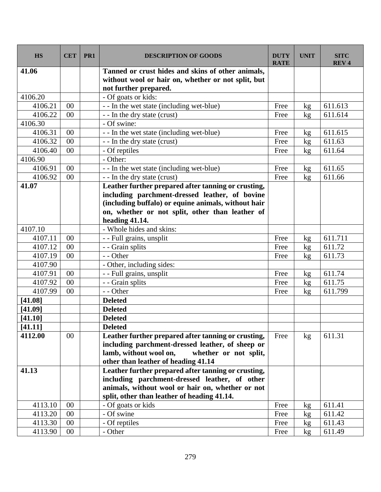| <b>HS</b> | <b>CET</b> | PR <sub>1</sub> | <b>DESCRIPTION OF GOODS</b>                         | <b>DUTY</b><br><b>RATE</b> | <b>UNIT</b> | <b>SITC</b><br><b>REV4</b> |
|-----------|------------|-----------------|-----------------------------------------------------|----------------------------|-------------|----------------------------|
| 41.06     |            |                 | Tanned or crust hides and skins of other animals,   |                            |             |                            |
|           |            |                 | without wool or hair on, whether or not split, but  |                            |             |                            |
|           |            |                 | not further prepared.                               |                            |             |                            |
| 4106.20   |            |                 | - Of goats or kids:                                 |                            |             |                            |
| 4106.21   | 00         |                 | - - In the wet state (including wet-blue)           | Free                       | kg          | 611.613                    |
| 4106.22   | 00         |                 | - - In the dry state (crust)                        | Free                       | kg          | 611.614                    |
| 4106.30   |            |                 | - Of swine:                                         |                            |             |                            |
| 4106.31   | 00         |                 | - - In the wet state (including wet-blue)           | Free                       | kg          | 611.615                    |
| 4106.32   | 00         |                 | - - In the dry state (crust)                        | Free                       | kg          | 611.63                     |
| 4106.40   | 00         |                 | - Of reptiles                                       | Free                       | kg          | 611.64                     |
| 4106.90   |            |                 | - Other:                                            |                            |             |                            |
| 4106.91   | $00\,$     |                 | - - In the wet state (including wet-blue)           | Free                       | kg          | 611.65                     |
| 4106.92   | 00         |                 | - - In the dry state (crust)                        | Free                       | kg          | 611.66                     |
| 41.07     |            |                 | Leather further prepared after tanning or crusting, |                            |             |                            |
|           |            |                 | including parchment-dressed leather, of bovine      |                            |             |                            |
|           |            |                 | (including buffalo) or equine animals, without hair |                            |             |                            |
|           |            |                 | on, whether or not split, other than leather of     |                            |             |                            |
|           |            |                 | heading 41.14.                                      |                            |             |                            |
| 4107.10   |            |                 | - Whole hides and skins:                            |                            |             |                            |
| 4107.11   | $00\,$     |                 | - - Full grains, unsplit                            | Free                       | kg          | $6\overline{11.711}$       |
| 4107.12   | 00         |                 | - - Grain splits                                    | Free                       | kg          | 611.72                     |
| 4107.19   | $00\,$     |                 | - - Other                                           | Free                       | kg          | 611.73                     |
| 4107.90   |            |                 | - Other, including sides:                           |                            |             |                            |
| 4107.91   | $00\,$     |                 | - - Full grains, unsplit                            | Free                       | kg          | 611.74                     |
| 4107.92   | 00         |                 | - - Grain splits                                    | Free                       | kg          | 611.75                     |
| 4107.99   | 00         |                 | - - Other                                           | Free                       | kg          | 611.799                    |
| [41.08]   |            |                 | <b>Deleted</b>                                      |                            |             |                            |
| [41.09]   |            |                 | <b>Deleted</b>                                      |                            |             |                            |
| [41.10]   |            |                 | <b>Deleted</b>                                      |                            |             |                            |
| [41.11]   |            |                 | <b>Deleted</b>                                      |                            |             |                            |
| 4112.00   | 00         |                 | Leather further prepared after tanning or crusting, | Free                       | kg          | 611.31                     |
|           |            |                 | including parchment-dressed leather, of sheep or    |                            |             |                            |
|           |            |                 | lamb, without wool on,<br>whether or not split,     |                            |             |                            |
|           |            |                 | other than leather of heading 41.14                 |                            |             |                            |
| 41.13     |            |                 | Leather further prepared after tanning or crusting, |                            |             |                            |
|           |            |                 | including parchment-dressed leather, of other       |                            |             |                            |
|           |            |                 | animals, without wool or hair on, whether or not    |                            |             |                            |
|           |            |                 | split, other than leather of heading 41.14.         |                            |             |                            |
| 4113.10   | $00\,$     |                 | - Of goats or kids                                  | Free                       | kg          | 611.41                     |
| 4113.20   | $00\,$     |                 | - Of swine                                          | Free                       | kg          | 611.42                     |
| 4113.30   | $00\,$     |                 | - Of reptiles                                       | Free                       | kg          | 611.43                     |
| 4113.90   | $00\,$     |                 | - Other                                             | Free                       | kg          | 611.49                     |